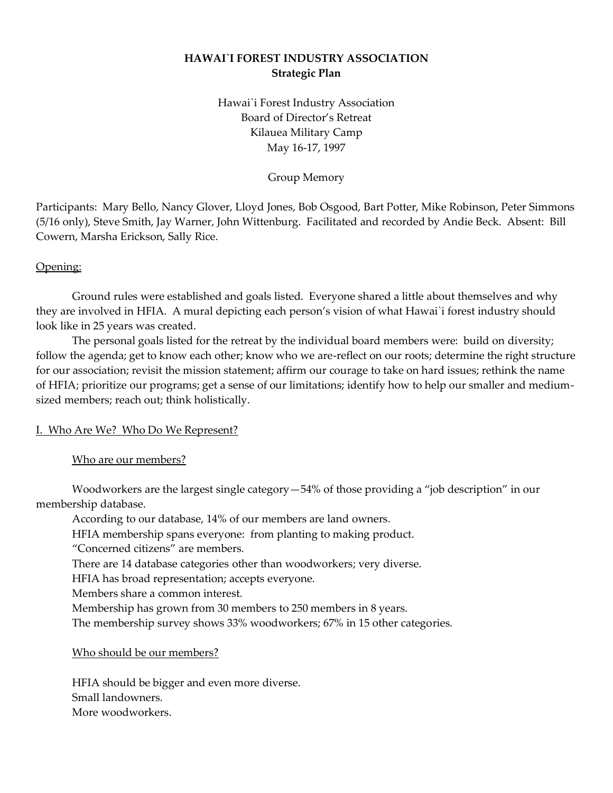# **HAWAI`I FOREST INDUSTRY ASSOCIATION Strategic Plan**

Hawai`i Forest Industry Association Board of Director's Retreat Kilauea Military Camp May 16-17, 1997

Group Memory

Participants: Mary Bello, Nancy Glover, Lloyd Jones, Bob Osgood, Bart Potter, Mike Robinson, Peter Simmons (5/16 only), Steve Smith, Jay Warner, John Wittenburg. Facilitated and recorded by Andie Beck. Absent: Bill Cowern, Marsha Erickson, Sally Rice.

# Opening:

Ground rules were established and goals listed. Everyone shared a little about themselves and why they are involved in HFIA. A mural depicting each person's vision of what Hawai`i forest industry should look like in 25 years was created.

The personal goals listed for the retreat by the individual board members were: build on diversity; follow the agenda; get to know each other; know who we are-reflect on our roots; determine the right structure for our association; revisit the mission statement; affirm our courage to take on hard issues; rethink the name of HFIA; prioritize our programs; get a sense of our limitations; identify how to help our smaller and mediumsized members; reach out; think holistically.

# I. Who Are We? Who Do We Represent?

# Who are our members?

Woodworkers are the largest single category—54% of those providing a "job description" in our membership database.

According to our database, 14% of our members are land owners.

HFIA membership spans everyone: from planting to making product.

"Concerned citizens" are members.

There are 14 database categories other than woodworkers; very diverse.

HFIA has broad representation; accepts everyone.

Members share a common interest.

Membership has grown from 30 members to 250 members in 8 years.

The membership survey shows 33% woodworkers; 67% in 15 other categories.

# Who should be our members?

HFIA should be bigger and even more diverse. Small landowners. More woodworkers.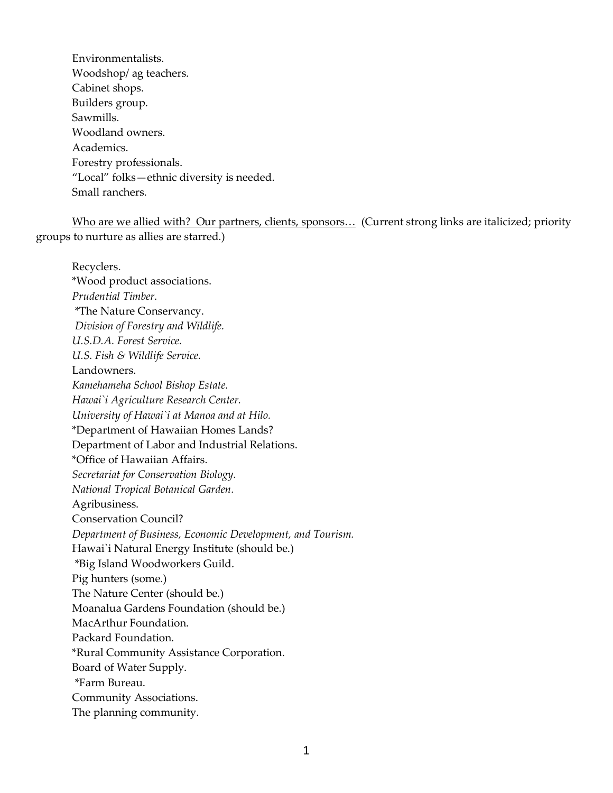Environmentalists. Woodshop/ ag teachers. Cabinet shops. Builders group. Sawmills. Woodland owners. Academics. Forestry professionals. "Local" folks—ethnic diversity is needed. Small ranchers.

Who are we allied with? Our partners, clients, sponsors... (Current strong links are italicized; priority groups to nurture as allies are starred.)

Recyclers. \*Wood product associations. *Prudential Timber.* \*The Nature Conservancy. *Division of Forestry and Wildlife. U.S.D.A. Forest Service. U.S. Fish & Wildlife Service.*  Landowners. *Kamehameha School Bishop Estate. Hawai`i Agriculture Research Center. University of Hawai`i at Manoa and at Hilo.*  \*Department of Hawaiian Homes Lands? Department of Labor and Industrial Relations. \*Office of Hawaiian Affairs. *Secretariat for Conservation Biology. National Tropical Botanical Garden.*  Agribusiness. Conservation Council? *Department of Business, Economic Development, and Tourism.*  Hawai`i Natural Energy Institute (should be.) \*Big Island Woodworkers Guild. Pig hunters (some.) The Nature Center (should be.) Moanalua Gardens Foundation (should be.) MacArthur Foundation. Packard Foundation. \*Rural Community Assistance Corporation. Board of Water Supply. \*Farm Bureau. Community Associations. The planning community.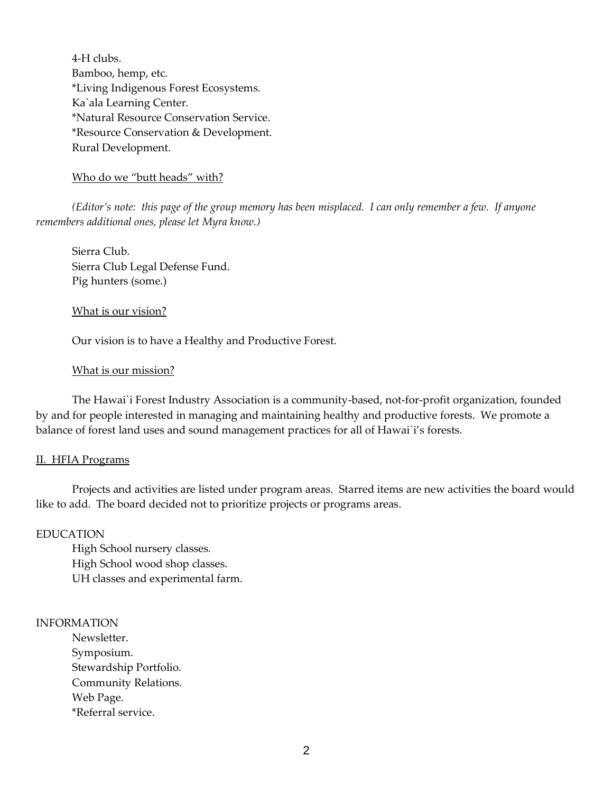4-H clubs. Bamboo, hemp, etc. \*Living Indigenous Forest Ecosystems. Ka`ala Learning Center. \*Natural Resource Conservation Service. \*Resource Conservation & Development. Rural Development.

Who do we "butt heads" with?

*(Editor's note: this page of the group memory has been misplaced. I can only remember a few. If anyone remembers additional ones, please let Myra know.)*

Sierra Club. Sierra Club Legal Defense Fund. Pig hunters (some.)

What is our vision?

Our vision is to have a Healthy and Productive Forest.

### What is our mission?

The Hawai`i Forest Industry Association is a community-based, not-for-profit organization, founded by and for people interested in managing and maintaining healthy and productive forests. We promote a balance of forest land uses and sound management practices for all of Hawai`i's forests.

### II. HFIA Programs

Projects and activities are listed under program areas. Starred items are new activities the board would like to add. The board decided not to prioritize projects or programs areas.

### EDUCATION

High School nursery classes. High School wood shop classes. UH classes and experimental farm.

### INFORMATION

Newsletter. Symposium. Stewardship Portfolio. Community Relations. Web Page. \*Referral service.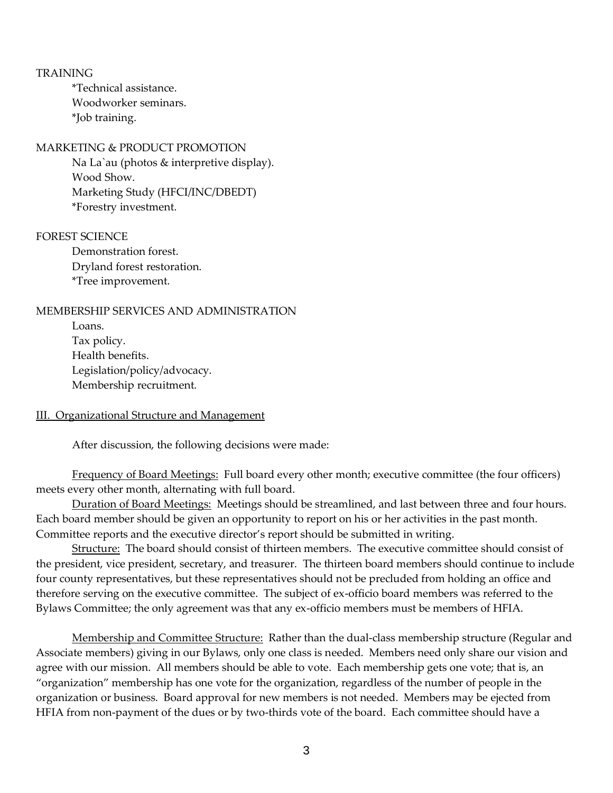#### **TRAINING**

\*Technical assistance. Woodworker seminars. \*Job training.

### MARKETING & PRODUCT PROMOTION

Na La`au (photos & interpretive display). Wood Show. Marketing Study (HFCI/INC/DBEDT) \*Forestry investment.

### FOREST SCIENCE

Demonstration forest. Dryland forest restoration. \*Tree improvement.

## MEMBERSHIP SERVICES AND ADMINISTRATION

Loans. Tax policy. Health benefits. Legislation/policy/advocacy. Membership recruitment.

#### III. Organizational Structure and Management

After discussion, the following decisions were made:

Frequency of Board Meetings: Full board every other month; executive committee (the four officers) meets every other month, alternating with full board.

Duration of Board Meetings: Meetings should be streamlined, and last between three and four hours. Each board member should be given an opportunity to report on his or her activities in the past month. Committee reports and the executive director's report should be submitted in writing.

Structure: The board should consist of thirteen members. The executive committee should consist of the president, vice president, secretary, and treasurer. The thirteen board members should continue to include four county representatives, but these representatives should not be precluded from holding an office and therefore serving on the executive committee. The subject of ex-officio board members was referred to the Bylaws Committee; the only agreement was that any ex-officio members must be members of HFIA.

Membership and Committee Structure: Rather than the dual-class membership structure (Regular and Associate members) giving in our Bylaws, only one class is needed. Members need only share our vision and agree with our mission. All members should be able to vote. Each membership gets one vote; that is, an "organization" membership has one vote for the organization, regardless of the number of people in the organization or business. Board approval for new members is not needed. Members may be ejected from HFIA from non-payment of the dues or by two-thirds vote of the board. Each committee should have a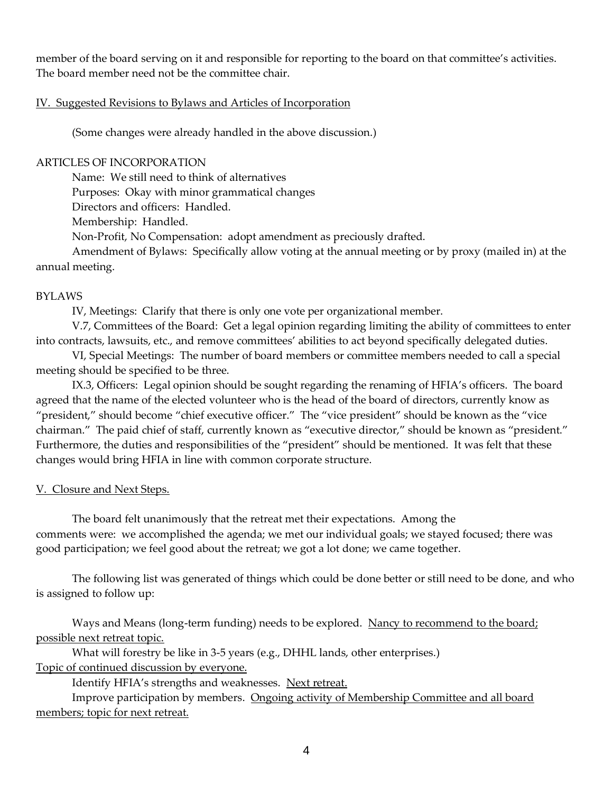member of the board serving on it and responsible for reporting to the board on that committee's activities. The board member need not be the committee chair.

## IV. Suggested Revisions to Bylaws and Articles of Incorporation

(Some changes were already handled in the above discussion.)

## ARTICLES OF INCORPORATION

Name: We still need to think of alternatives Purposes: Okay with minor grammatical changes Directors and officers: Handled.

Membership: Handled.

Non-Profit, No Compensation: adopt amendment as preciously drafted.

Amendment of Bylaws: Specifically allow voting at the annual meeting or by proxy (mailed in) at the annual meeting.

## BYLAWS

IV, Meetings: Clarify that there is only one vote per organizational member.

V.7, Committees of the Board: Get a legal opinion regarding limiting the ability of committees to enter into contracts, lawsuits, etc., and remove committees' abilities to act beyond specifically delegated duties.

VI, Special Meetings: The number of board members or committee members needed to call a special meeting should be specified to be three.

IX.3, Officers: Legal opinion should be sought regarding the renaming of HFIA's officers. The board agreed that the name of the elected volunteer who is the head of the board of directors, currently know as "president," should become "chief executive officer." The "vice president" should be known as the "vice chairman." The paid chief of staff, currently known as "executive director," should be known as "president." Furthermore, the duties and responsibilities of the "president" should be mentioned. It was felt that these changes would bring HFIA in line with common corporate structure.

# V. Closure and Next Steps.

The board felt unanimously that the retreat met their expectations. Among the comments were: we accomplished the agenda; we met our individual goals; we stayed focused; there was good participation; we feel good about the retreat; we got a lot done; we came together.

The following list was generated of things which could be done better or still need to be done, and who is assigned to follow up:

Ways and Means (long-term funding) needs to be explored. Nancy to recommend to the board; possible next retreat topic.

What will forestry be like in 3-5 years (e.g., DHHL lands, other enterprises.) Topic of continued discussion by everyone.

Identify HFIA's strengths and weaknesses. Next retreat.

Improve participation by members. Ongoing activity of Membership Committee and all board members; topic for next retreat.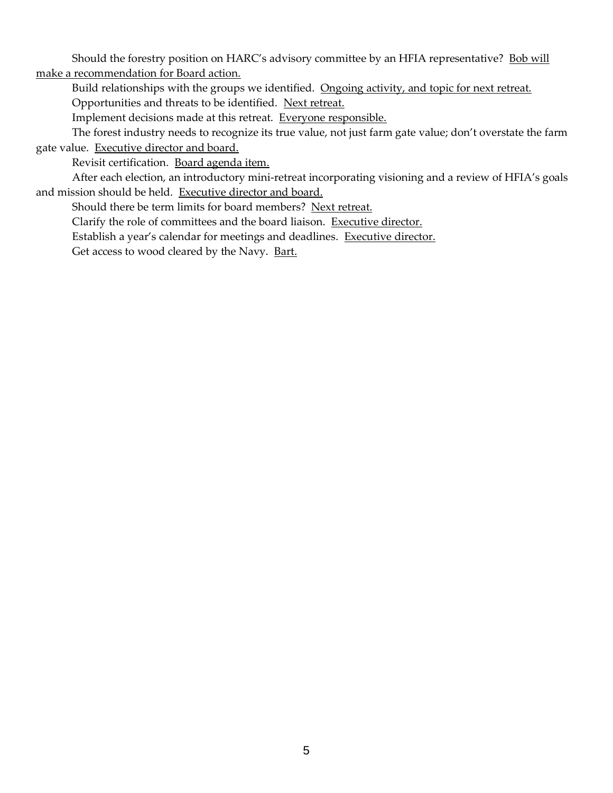Should the forestry position on HARC's advisory committee by an HFIA representative? Bob will make a recommendation for Board action.

Build relationships with the groups we identified. Ongoing activity, and topic for next retreat.

Opportunities and threats to be identified. Next retreat.

Implement decisions made at this retreat. Everyone responsible.

The forest industry needs to recognize its true value, not just farm gate value; don't overstate the farm gate value. Executive director and board.

Revisit certification. Board agenda item.

After each election, an introductory mini-retreat incorporating visioning and a review of HFIA's goals and mission should be held. Executive director and board.

Should there be term limits for board members? Next retreat.

Clarify the role of committees and the board liaison. Executive director.

Establish a year's calendar for meetings and deadlines. Executive director.

Get access to wood cleared by the Navy. Bart.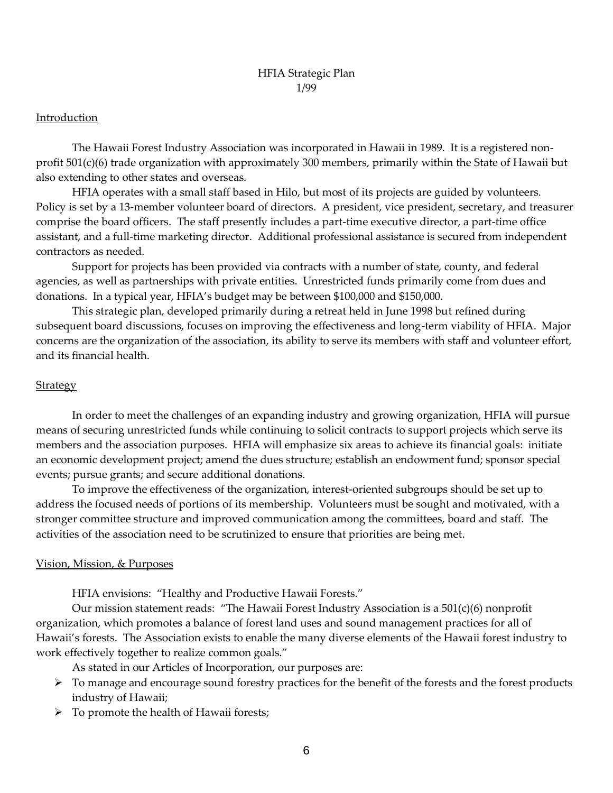# HFIA Strategic Plan 1/99

## Introduction

The Hawaii Forest Industry Association was incorporated in Hawaii in 1989. It is a registered nonprofit 501(c)(6) trade organization with approximately 300 members, primarily within the State of Hawaii but also extending to other states and overseas.

HFIA operates with a small staff based in Hilo, but most of its projects are guided by volunteers. Policy is set by a 13-member volunteer board of directors. A president, vice president, secretary, and treasurer comprise the board officers. The staff presently includes a part-time executive director, a part-time office assistant, and a full-time marketing director. Additional professional assistance is secured from independent contractors as needed.

Support for projects has been provided via contracts with a number of state, county, and federal agencies, as well as partnerships with private entities. Unrestricted funds primarily come from dues and donations. In a typical year, HFIA's budget may be between \$100,000 and \$150,000.

This strategic plan, developed primarily during a retreat held in June 1998 but refined during subsequent board discussions, focuses on improving the effectiveness and long-term viability of HFIA. Major concerns are the organization of the association, its ability to serve its members with staff and volunteer effort, and its financial health.

## **Strategy**

In order to meet the challenges of an expanding industry and growing organization, HFIA will pursue means of securing unrestricted funds while continuing to solicit contracts to support projects which serve its members and the association purposes. HFIA will emphasize six areas to achieve its financial goals: initiate an economic development project; amend the dues structure; establish an endowment fund; sponsor special events; pursue grants; and secure additional donations.

To improve the effectiveness of the organization, interest-oriented subgroups should be set up to address the focused needs of portions of its membership. Volunteers must be sought and motivated, with a stronger committee structure and improved communication among the committees, board and staff. The activities of the association need to be scrutinized to ensure that priorities are being met.

### Vision, Mission, & Purposes

HFIA envisions: "Healthy and Productive Hawaii Forests."

Our mission statement reads: "The Hawaii Forest Industry Association is a 501(c)(6) nonprofit organization, which promotes a balance of forest land uses and sound management practices for all of Hawaii's forests. The Association exists to enable the many diverse elements of the Hawaii forest industry to work effectively together to realize common goals."

As stated in our Articles of Incorporation, our purposes are:

- ➢ To manage and encourage sound forestry practices for the benefit of the forests and the forest products industry of Hawaii;
- $\triangleright$  To promote the health of Hawaii forests;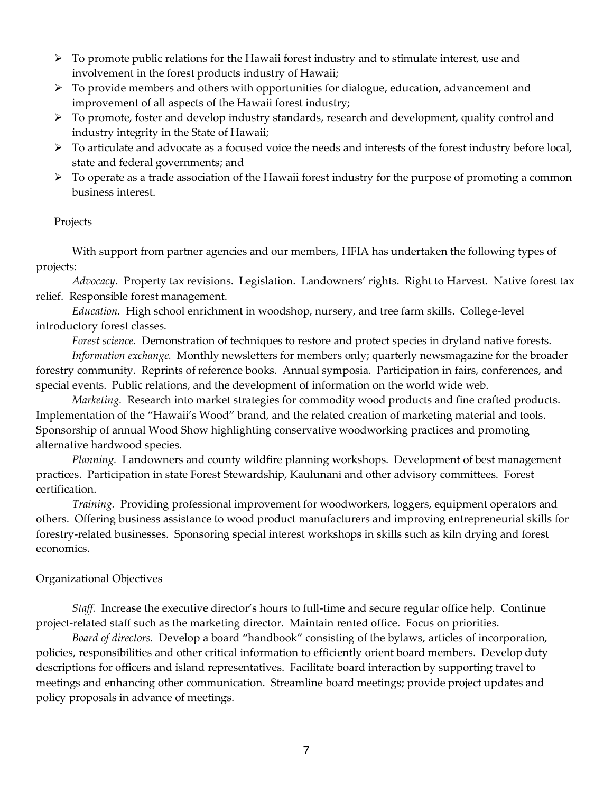- $\triangleright$  To promote public relations for the Hawaii forest industry and to stimulate interest, use and involvement in the forest products industry of Hawaii;
- ➢ To provide members and others with opportunities for dialogue, education, advancement and improvement of all aspects of the Hawaii forest industry;
- ➢ To promote, foster and develop industry standards, research and development, quality control and industry integrity in the State of Hawaii;
- $\triangleright$  To articulate and advocate as a focused voice the needs and interests of the forest industry before local, state and federal governments; and
- ➢ To operate as a trade association of the Hawaii forest industry for the purpose of promoting a common business interest.

# Projects

With support from partner agencies and our members, HFIA has undertaken the following types of projects:

*Advocacy*. Property tax revisions. Legislation. Landowners' rights. Right to Harvest. Native forest tax relief. Responsible forest management.

*Education.* High school enrichment in woodshop, nursery, and tree farm skills. College-level introductory forest classes.

*Forest science.* Demonstration of techniques to restore and protect species in dryland native forests. *Information exchange.* Monthly newsletters for members only; quarterly newsmagazine for the broader forestry community. Reprints of reference books. Annual symposia. Participation in fairs, conferences, and special events. Public relations, and the development of information on the world wide web.

*Marketing.* Research into market strategies for commodity wood products and fine crafted products. Implementation of the "Hawaii's Wood" brand, and the related creation of marketing material and tools. Sponsorship of annual Wood Show highlighting conservative woodworking practices and promoting alternative hardwood species.

*Planning.* Landowners and county wildfire planning workshops. Development of best management practices. Participation in state Forest Stewardship, Kaulunani and other advisory committees. Forest certification.

*Training.* Providing professional improvement for woodworkers, loggers, equipment operators and others. Offering business assistance to wood product manufacturers and improving entrepreneurial skills for forestry-related businesses. Sponsoring special interest workshops in skills such as kiln drying and forest economics.

# Organizational Objectives

*Staff.* Increase the executive director's hours to full-time and secure regular office help. Continue project-related staff such as the marketing director. Maintain rented office. Focus on priorities.

*Board of directors.* Develop a board "handbook" consisting of the bylaws, articles of incorporation, policies, responsibilities and other critical information to efficiently orient board members. Develop duty descriptions for officers and island representatives. Facilitate board interaction by supporting travel to meetings and enhancing other communication. Streamline board meetings; provide project updates and policy proposals in advance of meetings.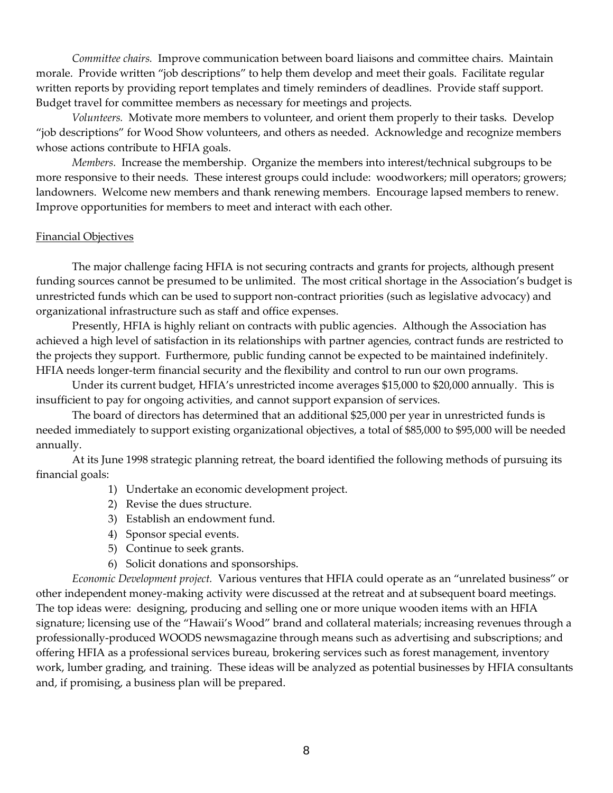*Committee chairs.* Improve communication between board liaisons and committee chairs. Maintain morale. Provide written "job descriptions" to help them develop and meet their goals. Facilitate regular written reports by providing report templates and timely reminders of deadlines. Provide staff support. Budget travel for committee members as necessary for meetings and projects.

*Volunteers.* Motivate more members to volunteer, and orient them properly to their tasks. Develop "job descriptions" for Wood Show volunteers, and others as needed. Acknowledge and recognize members whose actions contribute to HFIA goals.

*Members.* Increase the membership. Organize the members into interest/technical subgroups to be more responsive to their needs. These interest groups could include: woodworkers; mill operators; growers; landowners. Welcome new members and thank renewing members. Encourage lapsed members to renew. Improve opportunities for members to meet and interact with each other.

### Financial Objectives

The major challenge facing HFIA is not securing contracts and grants for projects, although present funding sources cannot be presumed to be unlimited. The most critical shortage in the Association's budget is unrestricted funds which can be used to support non-contract priorities (such as legislative advocacy) and organizational infrastructure such as staff and office expenses.

Presently, HFIA is highly reliant on contracts with public agencies. Although the Association has achieved a high level of satisfaction in its relationships with partner agencies, contract funds are restricted to the projects they support. Furthermore, public funding cannot be expected to be maintained indefinitely. HFIA needs longer-term financial security and the flexibility and control to run our own programs.

Under its current budget, HFIA's unrestricted income averages \$15,000 to \$20,000 annually. This is insufficient to pay for ongoing activities, and cannot support expansion of services.

The board of directors has determined that an additional \$25,000 per year in unrestricted funds is needed immediately to support existing organizational objectives, a total of \$85,000 to \$95,000 will be needed annually.

At its June 1998 strategic planning retreat, the board identified the following methods of pursuing its financial goals:

- 1) Undertake an economic development project.
- 2) Revise the dues structure.
- 3) Establish an endowment fund.
- 4) Sponsor special events.
- 5) Continue to seek grants.
- 6) Solicit donations and sponsorships.

*Economic Development project.* Various ventures that HFIA could operate as an "unrelated business" or other independent money-making activity were discussed at the retreat and at subsequent board meetings. The top ideas were: designing, producing and selling one or more unique wooden items with an HFIA signature; licensing use of the "Hawaii's Wood" brand and collateral materials; increasing revenues through a professionally-produced WOODS newsmagazine through means such as advertising and subscriptions; and offering HFIA as a professional services bureau, brokering services such as forest management, inventory work, lumber grading, and training. These ideas will be analyzed as potential businesses by HFIA consultants and, if promising, a business plan will be prepared.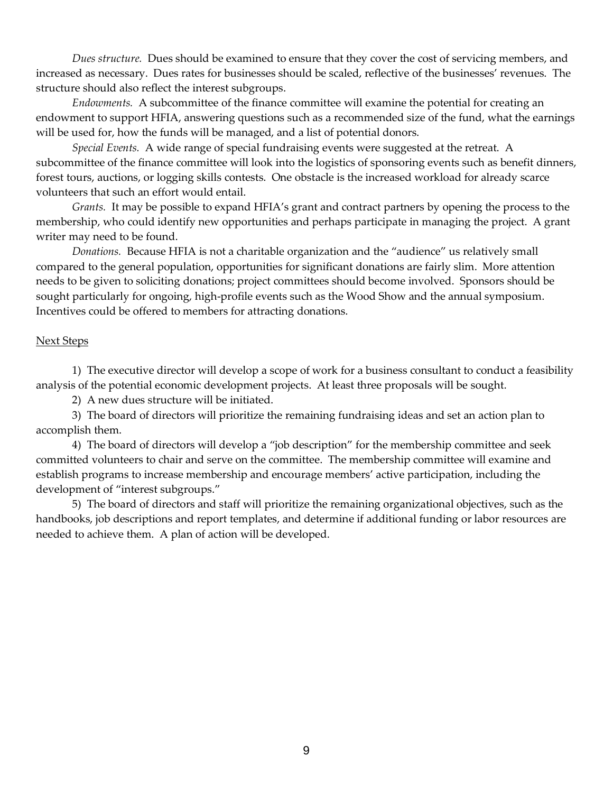*Dues structure.* Dues should be examined to ensure that they cover the cost of servicing members, and increased as necessary. Dues rates for businesses should be scaled, reflective of the businesses' revenues. The structure should also reflect the interest subgroups.

*Endowments.* A subcommittee of the finance committee will examine the potential for creating an endowment to support HFIA, answering questions such as a recommended size of the fund, what the earnings will be used for, how the funds will be managed, and a list of potential donors.

*Special Events.* A wide range of special fundraising events were suggested at the retreat. A subcommittee of the finance committee will look into the logistics of sponsoring events such as benefit dinners, forest tours, auctions, or logging skills contests. One obstacle is the increased workload for already scarce volunteers that such an effort would entail.

*Grants.* It may be possible to expand HFIA's grant and contract partners by opening the process to the membership, who could identify new opportunities and perhaps participate in managing the project. A grant writer may need to be found.

*Donations.* Because HFIA is not a charitable organization and the "audience" us relatively small compared to the general population, opportunities for significant donations are fairly slim. More attention needs to be given to soliciting donations; project committees should become involved. Sponsors should be sought particularly for ongoing, high-profile events such as the Wood Show and the annual symposium. Incentives could be offered to members for attracting donations.

# Next Steps

1) The executive director will develop a scope of work for a business consultant to conduct a feasibility analysis of the potential economic development projects. At least three proposals will be sought.

2) A new dues structure will be initiated.

3) The board of directors will prioritize the remaining fundraising ideas and set an action plan to accomplish them.

4) The board of directors will develop a "job description" for the membership committee and seek committed volunteers to chair and serve on the committee. The membership committee will examine and establish programs to increase membership and encourage members' active participation, including the development of "interest subgroups."

5) The board of directors and staff will prioritize the remaining organizational objectives, such as the handbooks, job descriptions and report templates, and determine if additional funding or labor resources are needed to achieve them. A plan of action will be developed.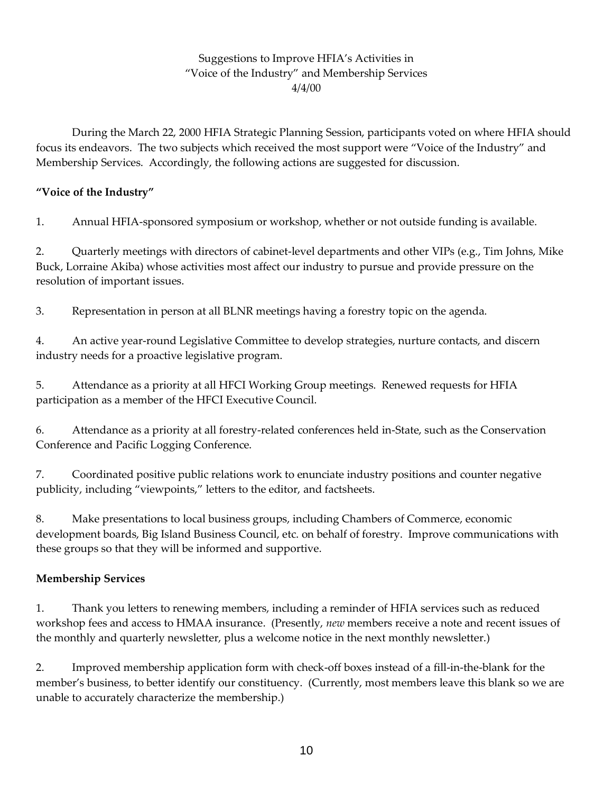# Suggestions to Improve HFIA's Activities in "Voice of the Industry" and Membership Services 4/4/00

During the March 22, 2000 HFIA Strategic Planning Session, participants voted on where HFIA should focus its endeavors. The two subjects which received the most support were "Voice of the Industry" and Membership Services. Accordingly, the following actions are suggested for discussion.

# **"Voice of the Industry"**

1. Annual HFIA-sponsored symposium or workshop, whether or not outside funding is available.

2. Quarterly meetings with directors of cabinet-level departments and other VIPs (e.g., Tim Johns, Mike Buck, Lorraine Akiba) whose activities most affect our industry to pursue and provide pressure on the resolution of important issues.

3. Representation in person at all BLNR meetings having a forestry topic on the agenda.

4. An active year-round Legislative Committee to develop strategies, nurture contacts, and discern industry needs for a proactive legislative program.

5. Attendance as a priority at all HFCI Working Group meetings. Renewed requests for HFIA participation as a member of the HFCI Executive Council.

6. Attendance as a priority at all forestry-related conferences held in-State, such as the Conservation Conference and Pacific Logging Conference.

7. Coordinated positive public relations work to enunciate industry positions and counter negative publicity, including "viewpoints," letters to the editor, and factsheets.

8. Make presentations to local business groups, including Chambers of Commerce, economic development boards, Big Island Business Council, etc. on behalf of forestry. Improve communications with these groups so that they will be informed and supportive.

# **Membership Services**

1. Thank you letters to renewing members, including a reminder of HFIA services such as reduced workshop fees and access to HMAA insurance. (Presently, *new* members receive a note and recent issues of the monthly and quarterly newsletter, plus a welcome notice in the next monthly newsletter.)

2. Improved membership application form with check-off boxes instead of a fill-in-the-blank for the member's business, to better identify our constituency. (Currently, most members leave this blank so we are unable to accurately characterize the membership.)